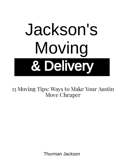

Thurman Jackson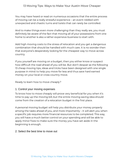You may have heard or read on numerous occasions that the entire process of moving can be a really stressful experience – an event riddled with unexpected and chaotic turns and twists that can rarely be controlled.

And to make things even more challenging than they really are, you must definitely be aware of the fact that moving all of your possessions from one home to another is also a rather expensive business to start with.

Add high moving costs to the stress of relocation and you get a dangerous combination that should be handled with much care. It is no wonder then that everyone's desperately looking for the cheapest way to move across country.

If you yourself are moving on a budget, then you either know or suspect how difficult the road ahead of you will be. But don't despair as the following 13 cheap moving tips, ideas and tricks have been designed with one single purpose in mind: to help you move for less and thus save hard earned money on your local or cross country move.

Ready to learn how to move cheaply?

#### 1. Control your moving expenses

To know how to move cheaply will prove very beneficial for you when it's time to pay up the moving bill, but the entire moving saving idea should come from the creation of a relocation budget in the first place.

A personal moving budget will help you distribute your money properly among the tasks ahead of you, and more importantly – it will alert you when a specific job requires more financial resources to be completed. This way, you will have a much better control on your spending and will be able to apply minor fixes to make sure the money you have set aside in the beginning is enough.

#### 2. Select the best time to move out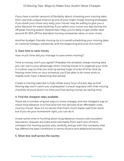If you have a certain amount of flexibility about choosing your moving date, then use that unique chance as one of your major cheap moving strategies. If you book your move very early, your mover may be willing to give you a price discount for early booking. If you select your move-out day during the off-peak moving season (September-May), you're likely to get a killer deal around 20-30% off the standard moving companies rates, or even more.

Another budget-friendly moving tip is to avoid scheduling your moving date on national holidays, weekends, and the beginning and end of a month.

#### 3. Save time to save money

How much time did you manage to save when moving?

Time is money, won't you agree? Probably the simplest cheap moving idea you can use to your advantage when moving house is to organize your time in a clever way so that you end up saving huge chunks of time. And, by freeing more time on your schedule, you'll be able to do more work or maybe even have a deserving rest period.

Create a moving calendar to fully utilize every hour of every day so that Moving day won't catch you unprepared. Consult regularly with that moving checklist of yours and in no time you'll be saving money by saving time.

### 4. Find the cheapest rates available

There are a number of good ways to move cheaply, and the cheapest way to move long distance is to find and hire the services of an affordable cross country mover. Now, it's no secret that that's much easier said than done but if you do your homework right, you can do it.

Invest some time in hunting down long distance movers with excellent reputation, request accurate price estimates from each one of them, compare the moving quotes very carefully, and go with the company that has offered the best conditions in terms of price and additional services.

### 5. Move less stuff across the country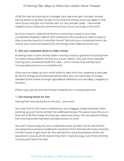Of all the tips for moving on a budget you may ever get, the best money saving advice is as clear as day: move only the things you'll use again in the near future and get rid of what's left. It's very simple, really – the overall weight of your shipment determines how much you'll pay in the end.

So, if you haven't used some items in more than a year or you have completely forgotten about their existence, why would you want to pay to ship to across country to another home? Sort out your unwanted items, declutter your home and pack only the things that make sense for you.

#### 6. Sell your unwanted items to make money

Knowing how to save money when moving house is good but knowing how to make money before moving out is even better. You just must consider turning your unwanted stuff into cash – extra money that will fuel your moving adventure to a successful end.

Once you've made up your mind what to take with you, organize a yard sale for all the things you're leaving behind. Also, you can sell those no longer needed items online through specialized websites such as eBay, Craigslist or Amazon.

Either way, use the earned money towards your moving expenses.

#### 7. Get moving boxes for free

Having free moving boxes is nice but… you know.

You may find it a bit hard to believe but your biggest single expense when packing up your home will be the cardboard boxes. The good news for you is that out of all the cheap moving tips, ideas and tricks, the one about finding free moving boxes has been actually proven to work.

You don't have to pay for your cardboard boxes, at least not for all of them. Get good second-hand cardboard containers from friends who have recently moved house or get them for the asking from local businesses which are required to recycle all the boxes they don't need anyway. Just think of all the money you'll save this way!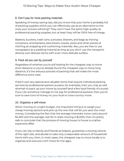## 8. Don't pay for most packing materials

Speaking of money saving tips, did you know that your home is probably full of packing supplies which you can effectively use as an alternative to the ones your movers will bring? They won't have the same high quality as professional packing supplies, but at least they will be 100% free of charge.

Baskets, buckets, trash cans, suitcases, drawers, and bags as moving containers, and blankets, bed sheets, towels, socks and other pieces of clothing as wrapping and cushioning materials. Also, you are free to use newspapers as a padding material as long as you don't use the newsprint directly over delicate items with even more delicate surface.

# 9. Pack all you can by yourself

Regardless of whether you're still looking for the cheapest way to move short distance or you've already found the cheapest way to move long distance, it's the arduous process of packing that will make the most difference price-wise.

If don't own any special and valuable items that require individual packing services by professional packers (a piano, for example), then you may as well attempt to pack up your home by yourself (and a few loyal friends, of course). If you can somehow manage to not pay for professional packers, then you're sure to save tons of money on your local or cross country move.

## 10. Organize a self-move

When moving on a tight budget, the important thing is to weigh your cheap moving options and pick up the one that will let you save the most money. Considering the fact that the average interstate move costs around \$4,300 and the average cost for in-state moving is \$2,300, then it's pretty safe to conclude that the process of moving house to house is a rather expensive affair.

If you can rely on family and friends as helpers, guarantee a moving vehicle of the right size, and decide to take only a reasonable amount of household items with you, then, in most cases, the cheapest way to move locally is to organize and execute a DIY move for the ages.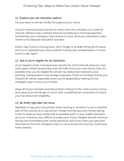## 11. Explore your job relocation options

Do your best to remain thrifty throughout your move.

If you're moving across country for work, then the company you work for may be willing to pay a certain amount towards your moving expenses. Sometimes, your company may choose to cover all of your relocation costs, which is the ideal job relocation scenario.

Either way, if you're moving soon, don't forget to at least bring up the issue and try to negotiate your full or partial moving cost compensation. It never hurts to ask, right?

# 12. See if you're eligible for tax deduction

If you happen to be moving across country for a full-time job and your new work place will be located less than 50 miles from your new home, then it's possible that you be eligible for certain tax deduction related to your packing, transportation and storage expenses. That's a monetary bonus you should not refuse, especially when you're desperately looking for the cheapest way to move out of state.

Keep all of your receipts and documents relative to the cross country move and, upon your arrival, get in touch with a qualified tax consultant to check your tax deduction eligibility.

## 13. Be thrifty right after the move

Needless to say, your top priority when moving to another house in another part of the country is to use proven cheap moving tips and money saving tricks to keep as many dollar bills as possible, both in your wallet and bank account. However, your efforts to make your move cheaper should continue during the immediate post-move period as well. If not, then your genuine attempts to find the cheapest ways to move across the country could have been wasted.